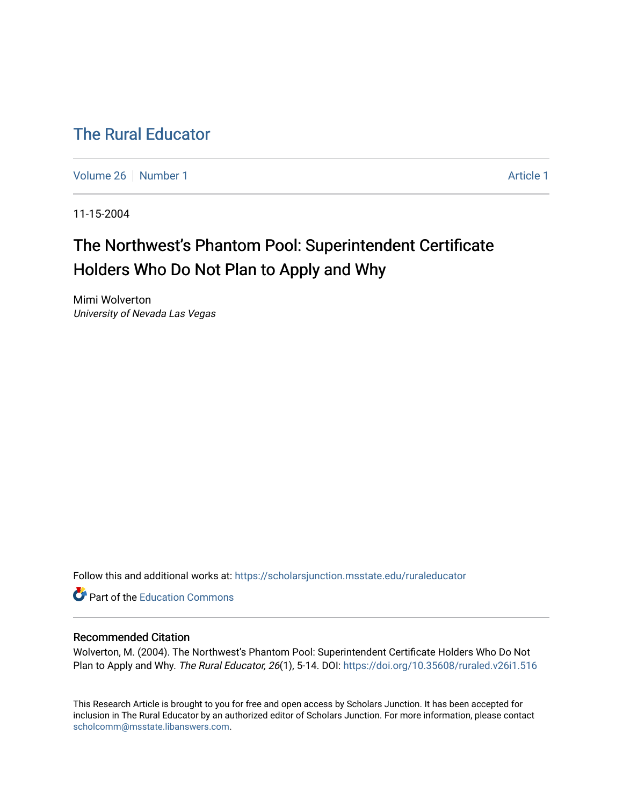## [The Rural Educator](https://scholarsjunction.msstate.edu/ruraleducator)

[Volume 26](https://scholarsjunction.msstate.edu/ruraleducator/vol26) [Number 1](https://scholarsjunction.msstate.edu/ruraleducator/vol26/iss1) [Article 1](https://scholarsjunction.msstate.edu/ruraleducator/vol26/iss1/1) Article 1 Article 1 Article 1 Article 1 Article 1 Article 1

11-15-2004

# The Northwest's Phantom Pool: Superintendent Certificate Holders Who Do Not Plan to Apply and Why

Mimi Wolverton University of Nevada Las Vegas

Follow this and additional works at: [https://scholarsjunction.msstate.edu/ruraleducator](https://scholarsjunction.msstate.edu/ruraleducator?utm_source=scholarsjunction.msstate.edu%2Fruraleducator%2Fvol26%2Fiss1%2F1&utm_medium=PDF&utm_campaign=PDFCoverPages)

Part of the [Education Commons](http://network.bepress.com/hgg/discipline/784?utm_source=scholarsjunction.msstate.edu%2Fruraleducator%2Fvol26%2Fiss1%2F1&utm_medium=PDF&utm_campaign=PDFCoverPages)

## Recommended Citation

Wolverton, M. (2004). The Northwest's Phantom Pool: Superintendent Certificate Holders Who Do Not Plan to Apply and Why. The Rural Educator, 26(1), 5-14. DOI: <https://doi.org/10.35608/ruraled.v26i1.516>

This Research Article is brought to you for free and open access by Scholars Junction. It has been accepted for inclusion in The Rural Educator by an authorized editor of Scholars Junction. For more information, please contact [scholcomm@msstate.libanswers.com.](mailto:scholcomm@msstate.libanswers.com)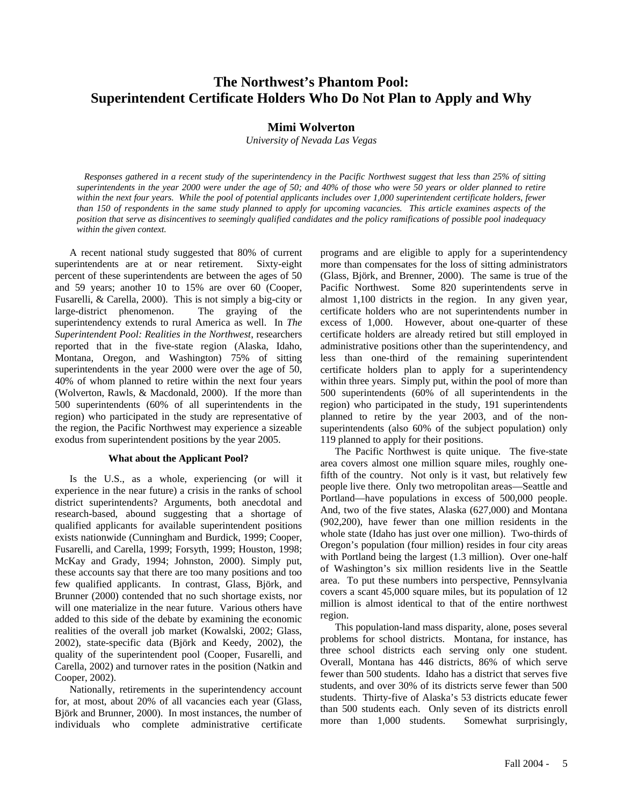## **The Northwest's Phantom Pool: Superintendent Certificate Holders Who Do Not Plan to Apply and Why**

## **Mimi Wolverton**

*University of Nevada Las Vegas*

*Responses gathered in a recent study of the superintendency in the Pacific Northwest suggest that less than 25% of sitting superintendents in the year 2000 were under the age of 50; and 40% of those who were 50 years or older planned to retire within the next four years. While the pool of potential applicants includes over 1,000 superintendent certificate holders, fewer than 150 of respondents in the same study planned to apply for upcoming vacancies. This article examines aspects of the position that serve as disincentives to seemingly qualified candidates and the policy ramifications of possible pool inadequacy within the given context.*

A recent national study suggested that 80% of current superintendents are at or near retirement. Sixty-eight percent of these superintendents are between the ages of 50 and 59 years; another 10 to 15% are over 60 (Cooper, Fusarelli, & Carella, 2000).This is not simply a big-city or large-district phenomenon. The graying of the superintendency extends to rural America as well. In *The Superintendent Pool: Realities in the Northwest*, researchers reported that in the five-state region (Alaska, Idaho, Montana, Oregon, and Washington) 75% of sitting superintendents in the year 2000 were over the age of 50, 40% of whom planned to retire within the next four years (Wolverton, Rawls, & Macdonald, 2000). If the more than 500 superintendents (60% of all superintendents in the region) who participated in the study are representative of the region, the Pacific Northwest may experience a sizeable exodus from superintendent positions by the year 2005.

#### **What about the Applicant Pool?**

Is the U.S., as a whole, experiencing (or will it experience in the near future) a crisis in the ranks of school district superintendents? Arguments, both anecdotal and research-based, abound suggesting that a shortage of qualified applicants for available superintendent positions exists nationwide (Cunningham and Burdick, 1999; Cooper, Fusarelli, and Carella, 1999; Forsyth, 1999; Houston, 1998; McKay and Grady, 1994; Johnston, 2000). Simply put, these accounts say that there are too many positions and too few qualified applicants. In contrast, Glass, Björk, and Brunner (2000) contended that no such shortage exists, nor will one materialize in the near future. Various others have added to this side of the debate by examining the economic realities of the overall job market (Kowalski, 2002; Glass, 2002), state-specific data (Björk and Keedy, 2002), the quality of the superintendent pool (Cooper, Fusarelli, and Carella, 2002) and turnover rates in the position (Natkin and Cooper, 2002).

Nationally, retirements in the superintendency account for, at most, about 20% of all vacancies each year (Glass, Björk and Brunner, 2000). In most instances, the number of individuals who complete administrative certificate

programs and are eligible to apply for a superintendency more than compensates for the loss of sitting administrators (Glass, Björk, and Brenner, 2000).The same is true of the Pacific Northwest. Some 820 superintendents serve in almost 1,100 districts in the region. In any given year, certificate holders who are not superintendents number in excess of 1,000. However, about one-quarter of these certificate holders are already retired but still employed in administrative positions other than the superintendency, and less than one-third of the remaining superintendent certificate holders plan to apply for a superintendency within three years. Simply put, within the pool of more than 500 superintendents (60% of all superintendents in the region) who participated in the study, 191 superintendents planned to retire by the year 2003, and of the nonsuperintendents (also 60% of the subject population) only 119 planned to apply for their positions.

The Pacific Northwest is quite unique. The five-state area covers almost one million square miles, roughly onefifth of the country. Not only is it vast, but relatively few people live there. Only two metropolitan areas—Seattle and Portland—have populations in excess of 500,000 people. And, two of the five states, Alaska (627,000) and Montana (902,200), have fewer than one million residents in the whole state (Idaho has just over one million). Two-thirds of Oregon's population (four million) resides in four city areas with Portland being the largest (1.3 million). Over one-half of Washington's six million residents live in the Seattle area. To put these numbers into perspective, Pennsylvania covers a scant 45,000 square miles, but its population of 12 million is almost identical to that of the entire northwest region.

This population-land mass disparity, alone, poses several problems for school districts. Montana, for instance, has three school districts each serving only one student. Overall, Montana has 446 districts, 86% of which serve fewer than 500 students. Idaho has a district that serves five students, and over 30% of its districts serve fewer than 500 students. Thirty-five of Alaska's 53 districts educate fewer than 500 students each. Only seven of its districts enroll more than 1,000 students. Somewhat surprisingly,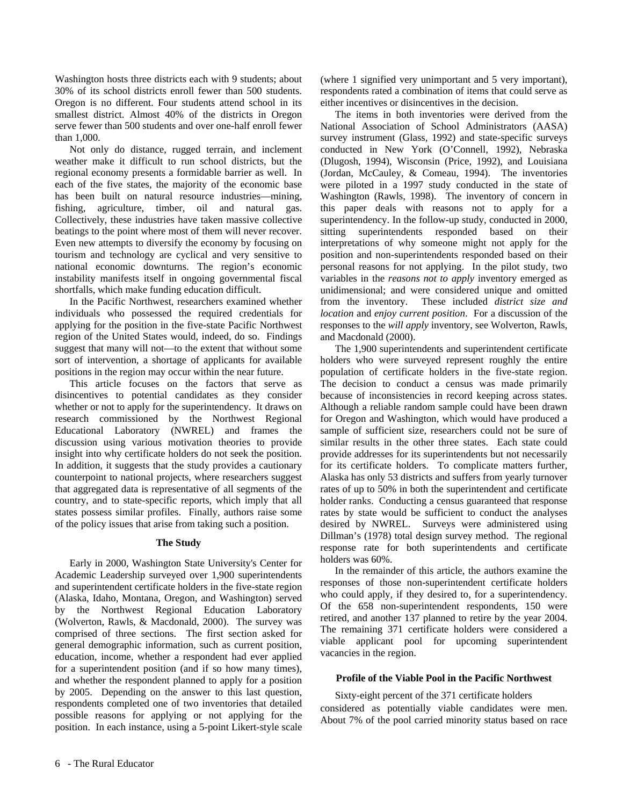Washington hosts three districts each with 9 students; about 30% of its school districts enroll fewer than 500 students. Oregon is no different. Four students attend school in its smallest district. Almost 40% of the districts in Oregon serve fewer than 500 students and over one-half enroll fewer than 1,000.

Not only do distance, rugged terrain, and inclement weather make it difficult to run school districts, but the regional economy presents a formidable barrier as well. In each of the five states, the majority of the economic base has been built on natural resource industries—mining, fishing, agriculture, timber, oil and natural gas. Collectively, these industries have taken massive collective beatings to the point where most of them will never recover. Even new attempts to diversify the economy by focusing on tourism and technology are cyclical and very sensitive to national economic downturns. The region's economic instability manifests itself in ongoing governmental fiscal shortfalls, which make funding education difficult.

In the Pacific Northwest, researchers examined whether individuals who possessed the required credentials for applying for the position in the five-state Pacific Northwest region of the United States would, indeed, do so. Findings suggest that many will not—to the extent that without some sort of intervention, a shortage of applicants for available positions in the region may occur within the near future.

This article focuses on the factors that serve as disincentives to potential candidates as they consider whether or not to apply for the superintendency. It draws on research commissioned by the Northwest Regional Educational Laboratory (NWREL) and frames the discussion using various motivation theories to provide insight into why certificate holders do not seek the position. In addition, it suggests that the study provides a cautionary counterpoint to national projects, where researchers suggest that aggregated data is representative of all segments of the country, and to state-specific reports, which imply that all states possess similar profiles. Finally, authors raise some of the policy issues that arise from taking such a position.

## **The Study**

Early in 2000, Washington State University's Center for Academic Leadership surveyed over 1,900 superintendents and superintendent certificate holders in the five-state region (Alaska, Idaho, Montana, Oregon, and Washington) served by the Northwest Regional Education Laboratory (Wolverton, Rawls, & Macdonald, 2000). The survey was comprised of three sections. The first section asked for general demographic information, such as current position, education, income, whether a respondent had ever applied for a superintendent position (and if so how many times), and whether the respondent planned to apply for a position by 2005. Depending on the answer to this last question, respondents completed one of two inventories that detailed possible reasons for applying or not applying for the position. In each instance, using a 5-point Likert-style scale (where 1 signified very unimportant and 5 very important), respondents rated a combination of items that could serve as either incentives or disincentives in the decision.

The items in both inventories were derived from the National Association of School Administrators (AASA) survey instrument (Glass, 1992) and state-specific surveys conducted in New York (O'Connell, 1992), Nebraska (Dlugosh, 1994), Wisconsin (Price, 1992), and Louisiana (Jordan, McCauley, & Comeau, 1994). The inventories were piloted in a 1997 study conducted in the state of Washington (Rawls, 1998). The inventory of concern in this paper deals with reasons not to apply for a superintendency. In the follow-up study, conducted in 2000, sitting superintendents responded based on their interpretations of why someone might not apply for the position and non-superintendents responded based on their personal reasons for not applying. In the pilot study, two variables in the *reasons not to apply* inventory emerged as unidimensional; and were considered unique and omitted from the inventory. These included *district size and location* and *enjoy current position*. For a discussion of the responses to the *will apply* inventory, see Wolverton, Rawls, and Macdonald (2000).

The 1,900 superintendents and superintendent certificate holders who were surveyed represent roughly the entire population of certificate holders in the five-state region. The decision to conduct a census was made primarily because of inconsistencies in record keeping across states. Although a reliable random sample could have been drawn for Oregon and Washington, which would have produced a sample of sufficient size, researchers could not be sure of similar results in the other three states. Each state could provide addresses for its superintendents but not necessarily for its certificate holders. To complicate matters further, Alaska has only 53 districts and suffers from yearly turnover rates of up to 50% in both the superintendent and certificate holder ranks. Conducting a census guaranteed that response rates by state would be sufficient to conduct the analyses desired by NWREL. Surveys were administered using Dillman's (1978) total design survey method. The regional response rate for both superintendents and certificate holders was 60%.

In the remainder of this article, the authors examine the responses of those non-superintendent certificate holders who could apply, if they desired to, for a superintendency. Of the 658 non-superintendent respondents, 150 were retired, and another 137 planned to retire by the year 2004. The remaining 371 certificate holders were considered a viable applicant pool for upcoming superintendent vacancies in the region.

## **Profile of the Viable Pool in the Pacific Northwest**

Sixty-eight percent of the 371 certificate holders considered as potentially viable candidates were men. About 7% of the pool carried minority status based on race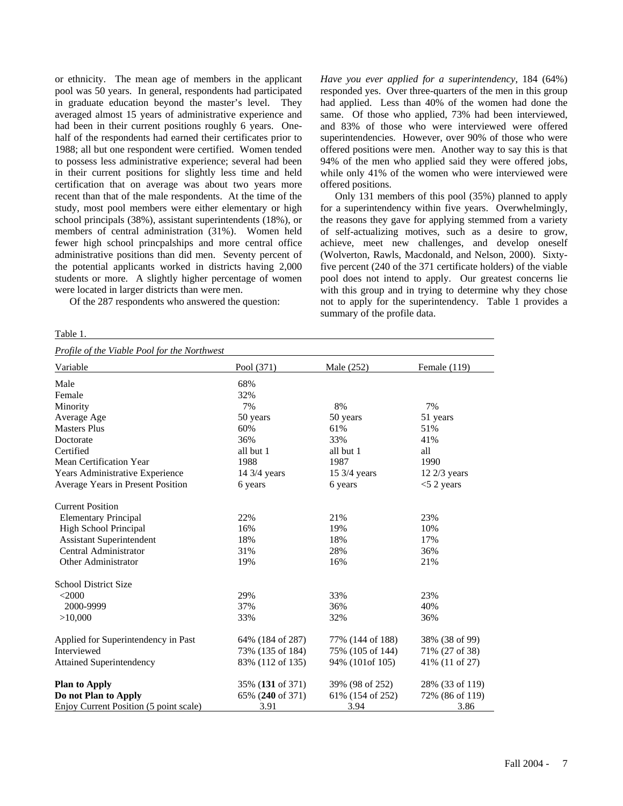or ethnicity. The mean age of members in the applicant pool was 50 years. In general, respondents had participated in graduate education beyond the master's level. They averaged almost 15 years of administrative experience and had been in their current positions roughly 6 years. Onehalf of the respondents had earned their certificates prior to 1988; all but one respondent were certified. Women tended to possess less administrative experience; several had been in their current positions for slightly less time and held certification that on average was about two years more recent than that of the male respondents. At the time of the study, most pool members were either elementary or high school principals (38%), assistant superintendents (18%), or members of central administration (31%). Women held fewer high school princpalships and more central office administrative positions than did men. Seventy percent of the potential applicants worked in districts having 2,000 students or more. A slightly higher percentage of women were located in larger districts than were men.

Of the 287 respondents who answered the question:

#### Table 1.

*Have you ever applied for a superintendency*, 184 (64%) responded yes. Over three-quarters of the men in this group had applied. Less than 40% of the women had done the same. Of those who applied, 73% had been interviewed, and 83% of those who were interviewed were offered superintendencies. However, over 90% of those who were offered positions were men. Another way to say this is that 94% of the men who applied said they were offered jobs, while only 41% of the women who were interviewed were offered positions.

Only 131 members of this pool (35%) planned to apply for a superintendency within five years. Overwhelmingly, the reasons they gave for applying stemmed from a variety of self-actualizing motives, such as a desire to grow, achieve, meet new challenges, and develop oneself (Wolverton, Rawls, Macdonald, and Nelson, 2000). Sixtyfive percent (240 of the 371 certificate holders) of the viable pool does not intend to apply. Our greatest concerns lie with this group and in trying to determine why they chose not to apply for the superintendency. Table 1 provides a summary of the profile data.

| Profile of the Viable Pool for the Northwest |                  |                  |                 |  |
|----------------------------------------------|------------------|------------------|-----------------|--|
| Variable                                     | Pool (371)       | Male (252)       | Female $(119)$  |  |
| Male                                         | 68%              |                  |                 |  |
| Female                                       | 32%              |                  |                 |  |
| Minority                                     | 7%               | 8%               | 7%              |  |
| Average Age                                  | 50 years         | 50 years         | 51 years        |  |
| <b>Masters Plus</b>                          | 60%              | 61%              | 51%             |  |
| Doctorate                                    | 36%              | 33%              | 41%             |  |
| Certified                                    | all but 1        | all but 1        | all             |  |
| <b>Mean Certification Year</b>               | 1988             | 1987             | 1990            |  |
| Years Administrative Experience              | 14 3/4 years     | 15 3/4 years     | 12 2/3 years    |  |
| Average Years in Present Position            | 6 years          | 6 years          | $<$ 5 2 years   |  |
| <b>Current Position</b>                      |                  |                  |                 |  |
| <b>Elementary Principal</b>                  | 22%              | 21%              | 23%             |  |
| High School Principal                        | 16%              | 19%              | 10%             |  |
| <b>Assistant Superintendent</b>              | 18%              | 18%              | 17%             |  |
| Central Administrator                        | 31%              | 28%              | 36%             |  |
| <b>Other Administrator</b>                   | 19%              | 16%              | 21%             |  |
| <b>School District Size</b>                  |                  |                  |                 |  |
| $<$ 2000                                     | 29%              | 33%              | 23%             |  |
| 2000-9999                                    | 37%              | 36%              | 40%             |  |
| >10,000                                      | 33%              | 32%              | 36%             |  |
| Applied for Superintendency in Past          | 64% (184 of 287) | 77% (144 of 188) | 38% (38 of 99)  |  |
| Interviewed                                  | 73% (135 of 184) | 75% (105 of 144) | 71% (27 of 38)  |  |
| <b>Attained Superintendency</b>              | 83% (112 of 135) | 94% (101of 105)  | 41% (11 of 27)  |  |
| <b>Plan to Apply</b>                         | 35% (131 of 371) | 39% (98 of 252)  | 28% (33 of 119) |  |
| Do not Plan to Apply                         | 65% (240 of 371) | 61% (154 of 252) | 72% (86 of 119) |  |
| Enjoy Current Position (5 point scale)       | 3.91             | 3.94             | 3.86            |  |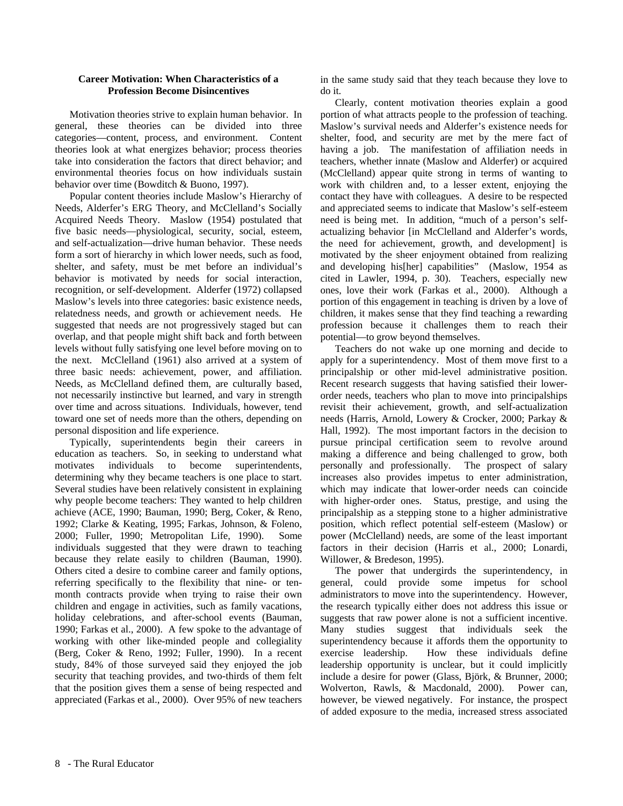## **Career Motivation: When Characteristics of a Profession Become Disincentives**

Motivation theories strive to explain human behavior. In general, these theories can be divided into three categories—content, process, and environment. Content theories look at what energizes behavior; process theories take into consideration the factors that direct behavior; and environmental theories focus on how individuals sustain behavior over time (Bowditch & Buono, 1997).

Popular content theories include Maslow's Hierarchy of Needs, Alderfer's ERG Theory, and McClelland's Socially Acquired Needs Theory. Maslow (1954) postulated that five basic needs—physiological, security, social, esteem, and self-actualization—drive human behavior. These needs form a sort of hierarchy in which lower needs, such as food, shelter, and safety, must be met before an individual's behavior is motivated by needs for social interaction, recognition, or self-development. Alderfer (1972) collapsed Maslow's levels into three categories: basic existence needs, relatedness needs, and growth or achievement needs. He suggested that needs are not progressively staged but can overlap, and that people might shift back and forth between levels without fully satisfying one level before moving on to the next. McClelland (1961) also arrived at a system of three basic needs: achievement, power, and affiliation. Needs, as McClelland defined them, are culturally based, not necessarily instinctive but learned, and vary in strength over time and across situations. Individuals, however, tend toward one set of needs more than the others, depending on personal disposition and life experience.

Typically, superintendents begin their careers in education as teachers. So, in seeking to understand what motivates individuals to become superintendents, determining why they became teachers is one place to start. Several studies have been relatively consistent in explaining why people become teachers: They wanted to help children achieve (ACE, 1990; Bauman, 1990; Berg, Coker, & Reno, 1992; Clarke & Keating, 1995; Farkas, Johnson, & Foleno, 2000; Fuller, 1990; Metropolitan Life, 1990). Some individuals suggested that they were drawn to teaching because they relate easily to children (Bauman, 1990). Others cited a desire to combine career and family options, referring specifically to the flexibility that nine- or tenmonth contracts provide when trying to raise their own children and engage in activities, such as family vacations, holiday celebrations, and after-school events (Bauman, 1990; Farkas et al., 2000). A few spoke to the advantage of working with other like-minded people and collegiality (Berg, Coker & Reno, 1992; Fuller, 1990). In a recent study, 84% of those surveyed said they enjoyed the job security that teaching provides, and two-thirds of them felt that the position gives them a sense of being respected and appreciated (Farkas et al., 2000). Over 95% of new teachers in the same study said that they teach because they love to do it.

Clearly, content motivation theories explain a good portion of what attracts people to the profession of teaching. Maslow's survival needs and Alderfer's existence needs for shelter, food, and security are met by the mere fact of having a job. The manifestation of affiliation needs in teachers, whether innate (Maslow and Alderfer) or acquired (McClelland) appear quite strong in terms of wanting to work with children and, to a lesser extent, enjoying the contact they have with colleagues. A desire to be respected and appreciated seems to indicate that Maslow's self-esteem need is being met. In addition, "much of a person's selfactualizing behavior [in McClelland and Alderfer's words, the need for achievement, growth, and development] is motivated by the sheer enjoyment obtained from realizing and developing his[her] capabilities" (Maslow, 1954 as cited in Lawler, 1994, p. 30). Teachers, especially new ones, love their work (Farkas et al., 2000). Although a portion of this engagement in teaching is driven by a love of children, it makes sense that they find teaching a rewarding profession because it challenges them to reach their potential—to grow beyond themselves.

Teachers do not wake up one morning and decide to apply for a superintendency. Most of them move first to a principalship or other mid-level administrative position. Recent research suggests that having satisfied their lowerorder needs, teachers who plan to move into principalships revisit their achievement, growth, and self-actualization needs (Harris, Arnold, Lowery & Crocker, 2000; Parkay & Hall, 1992). The most important factors in the decision to pursue principal certification seem to revolve around making a difference and being challenged to grow, both personally and professionally. The prospect of salary increases also provides impetus to enter administration, which may indicate that lower-order needs can coincide with higher-order ones. Status, prestige, and using the principalship as a stepping stone to a higher administrative position, which reflect potential self-esteem (Maslow) or power (McClelland) needs, are some of the least important factors in their decision (Harris et al., 2000; Lonardi, Willower, & Bredeson, 1995).

The power that undergirds the superintendency, in general, could provide some impetus for school administrators to move into the superintendency. However, the research typically either does not address this issue or suggests that raw power alone is not a sufficient incentive. Many studies suggest that individuals seek the superintendency because it affords them the opportunity to exercise leadership. How these individuals define leadership opportunity is unclear, but it could implicitly include a desire for power (Glass, Björk, & Brunner, 2000; Wolverton, Rawls, & Macdonald, 2000). Power can, however, be viewed negatively. For instance, the prospect of added exposure to the media, increased stress associated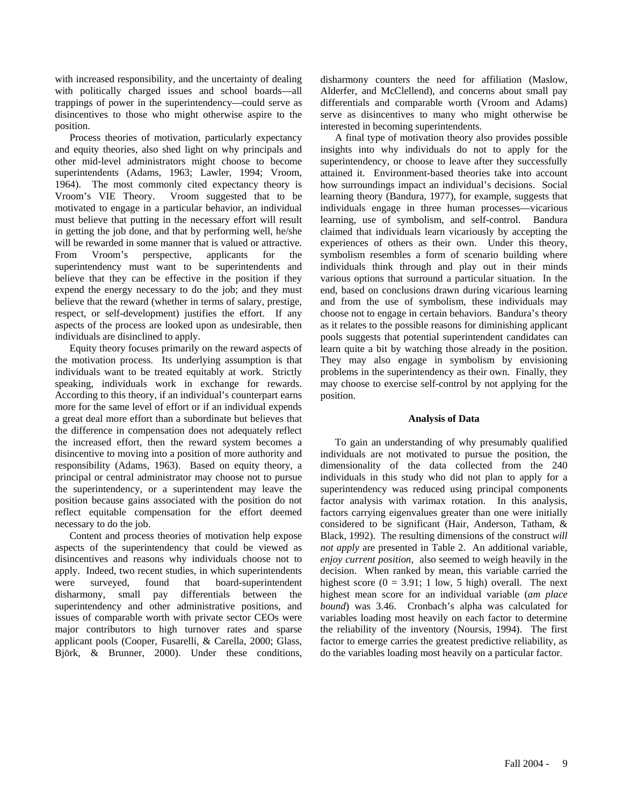with increased responsibility, and the uncertainty of dealing with politically charged issues and school boards—all trappings of power in the superintendency—could serve as disincentives to those who might otherwise aspire to the position.

Process theories of motivation, particularly expectancy and equity theories, also shed light on why principals and other mid-level administrators might choose to become superintendents (Adams, 1963; Lawler, 1994; Vroom, 1964). The most commonly cited expectancy theory is Vroom's VIE Theory. Vroom suggested that to be motivated to engage in a particular behavior, an individual must believe that putting in the necessary effort will result in getting the job done, and that by performing well, he/she will be rewarded in some manner that is valued or attractive. From Vroom's perspective, applicants for the superintendency must want to be superintendents and believe that they can be effective in the position if they expend the energy necessary to do the job; and they must believe that the reward (whether in terms of salary, prestige, respect, or self-development) justifies the effort. If any aspects of the process are looked upon as undesirable, then individuals are disinclined to apply.

Equity theory focuses primarily on the reward aspects of the motivation process. Its underlying assumption is that individuals want to be treated equitably at work. Strictly speaking, individuals work in exchange for rewards. According to this theory, if an individual's counterpart earns more for the same level of effort or if an individual expends a great deal more effort than a subordinate but believes that the difference in compensation does not adequately reflect the increased effort, then the reward system becomes a disincentive to moving into a position of more authority and responsibility (Adams, 1963). Based on equity theory, a principal or central administrator may choose not to pursue the superintendency, or a superintendent may leave the position because gains associated with the position do not reflect equitable compensation for the effort deemed necessary to do the job.

Content and process theories of motivation help expose aspects of the superintendency that could be viewed as disincentives and reasons why individuals choose not to apply. Indeed, two recent studies, in which superintendents were surveyed, found that board-superintendent disharmony, small pay differentials between the superintendency and other administrative positions, and issues of comparable worth with private sector CEOs were major contributors to high turnover rates and sparse applicant pools (Cooper, Fusarelli, & Carella, 2000; Glass, Björk, & Brunner, 2000). Under these conditions, disharmony counters the need for affiliation (Maslow, Alderfer, and McClellend), and concerns about small pay differentials and comparable worth (Vroom and Adams) serve as disincentives to many who might otherwise be interested in becoming superintendents.

A final type of motivation theory also provides possible insights into why individuals do not to apply for the superintendency, or choose to leave after they successfully attained it. Environment-based theories take into account how surroundings impact an individual's decisions. Social learning theory (Bandura, 1977), for example, suggests that individuals engage in three human processes—vicarious learning, use of symbolism, and self-control. Bandura claimed that individuals learn vicariously by accepting the experiences of others as their own. Under this theory, symbolism resembles a form of scenario building where individuals think through and play out in their minds various options that surround a particular situation. In the end, based on conclusions drawn during vicarious learning and from the use of symbolism, these individuals may choose not to engage in certain behaviors. Bandura's theory as it relates to the possible reasons for diminishing applicant pools suggests that potential superintendent candidates can learn quite a bit by watching those already in the position. They may also engage in symbolism by envisioning problems in the superintendency as their own. Finally, they may choose to exercise self-control by not applying for the position.

## **Analysis of Data**

To gain an understanding of why presumably qualified individuals are not motivated to pursue the position, the dimensionality of the data collected from the 240 individuals in this study who did not plan to apply for a superintendency was reduced using principal components factor analysis with varimax rotation. In this analysis, factors carrying eigenvalues greater than one were initially considered to be significant (Hair, Anderson, Tatham, & Black, 1992). The resulting dimensions of the construct *will not apply* are presented in Table 2. An additional variable, *enjoy current position*, also seemed to weigh heavily in the decision. When ranked by mean, this variable carried the highest score  $(0 = 3.91; 1 \text{ low}, 5 \text{ high})$  overall. The next highest mean score for an individual variable (*am place bound*) was 3.46. Cronbach's alpha was calculated for variables loading most heavily on each factor to determine the reliability of the inventory (Noursis, 1994). The first factor to emerge carries the greatest predictive reliability, as do the variables loading most heavily on a particular factor.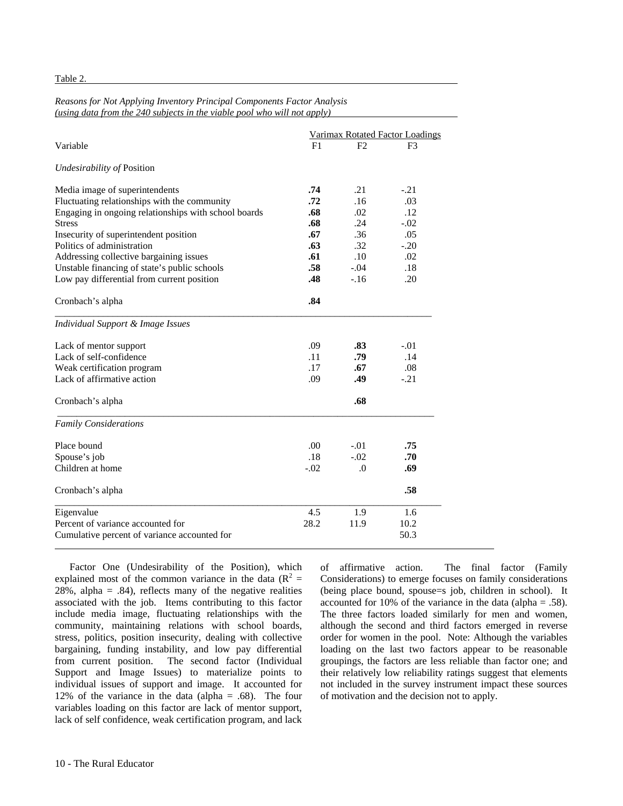Table 2.

### *Reasons for Not Applying Inventory Principal Components Factor Analysis (using data from the 240 subjects in the viable pool who will not apply)*

|                                                      | Varimax Rotated Factor Loadings |          |        |
|------------------------------------------------------|---------------------------------|----------|--------|
| Variable                                             | F1                              | F2       | F3     |
| Undesirability of Position                           |                                 |          |        |
| Media image of superintendents                       | .74                             | .21      | $-.21$ |
| Fluctuating relationships with the community         | .72                             | .16      | .03    |
| Engaging in ongoing relationships with school boards | .68                             | .02      | .12    |
| <b>Stress</b>                                        | .68                             | .24      | $-.02$ |
| Insecurity of superintendent position                | .67                             | .36      | .05    |
| Politics of administration                           | .63                             | .32      | $-.20$ |
| Addressing collective bargaining issues              | .61                             | .10      | .02    |
| Unstable financing of state's public schools         | .58                             | $-.04$   | .18    |
| Low pay differential from current position           | .48                             | $-16$    | .20    |
| Cronbach's alpha                                     | .84                             |          |        |
| Individual Support & Image Issues                    |                                 |          |        |
| Lack of mentor support                               | .09                             | .83      | $-.01$ |
| Lack of self-confidence                              | .11                             | .79      | .14    |
| Weak certification program                           | .17                             | .67      | .08    |
| Lack of affirmative action                           | .09                             | .49      | $-.21$ |
| Cronbach's alpha                                     |                                 | .68      |        |
| <b>Family Considerations</b>                         |                                 |          |        |
| Place bound                                          | .00                             | $-.01$   | .75    |
| Spouse's job                                         | .18                             | $-.02$   | .70    |
| Children at home                                     | $-.02$                          | $\Omega$ | .69    |
| Cronbach's alpha                                     |                                 |          | .58    |
| Eigenvalue                                           | 4.5                             | 1.9      | 1.6    |
| Percent of variance accounted for                    | 28.2                            | 11.9     | 10.2   |
| Cumulative percent of variance accounted for         |                                 |          | 50.3   |

Factor One (Undesirability of the Position), which explained most of the common variance in the data ( $R^2$  = 28%, alpha =  $.84$ ), reflects many of the negative realities associated with the job. Items contributing to this factor include media image, fluctuating relationships with the community, maintaining relations with school boards, stress, politics, position insecurity, dealing with collective bargaining, funding instability, and low pay differential from current position. The second factor (Individual Support and Image Issues) to materialize points to individual issues of support and image. It accounted for 12% of the variance in the data (alpha  $= .68$ ). The four variables loading on this factor are lack of mentor support, lack of self confidence, weak certification program, and lack of affirmative action. The final factor (Family Considerations) to emerge focuses on family considerations (being place bound, spouse=s job, children in school). It accounted for 10% of the variance in the data (alpha = .58). The three factors loaded similarly for men and women, although the second and third factors emerged in reverse order for women in the pool. Note: Although the variables loading on the last two factors appear to be reasonable groupings, the factors are less reliable than factor one; and their relatively low reliability ratings suggest that elements not included in the survey instrument impact these sources of motivation and the decision not to apply.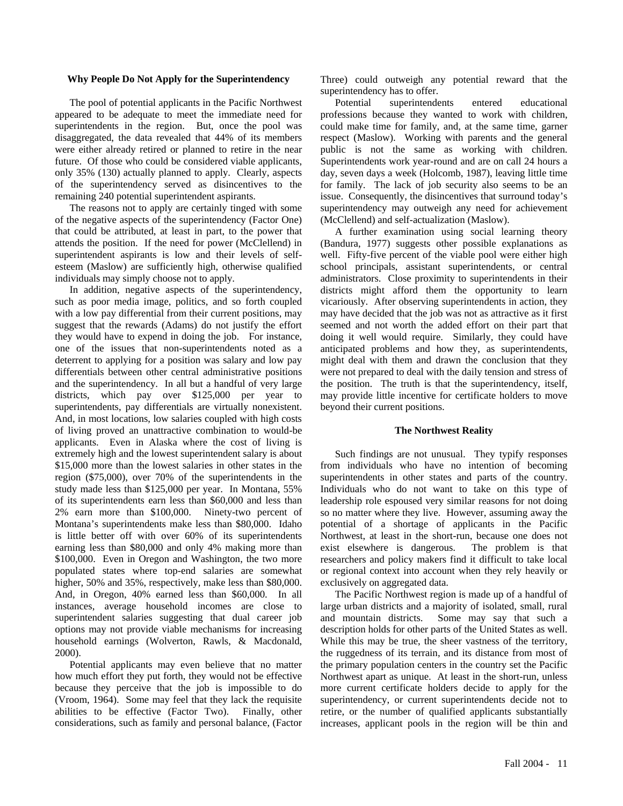### **Why People Do Not Apply for the Superintendency**

The pool of potential applicants in the Pacific Northwest appeared to be adequate to meet the immediate need for superintendents in the region. But, once the pool was disaggregated, the data revealed that 44% of its members were either already retired or planned to retire in the near future.Of those who could be considered viable applicants, only 35% (130) actually planned to apply. Clearly, aspects of the superintendency served as disincentives to the remaining 240 potential superintendent aspirants.

The reasons not to apply are certainly tinged with some of the negative aspects of the superintendency (Factor One) that could be attributed, at least in part, to the power that attends the position. If the need for power (McClellend) in superintendent aspirants is low and their levels of selfesteem (Maslow) are sufficiently high, otherwise qualified individuals may simply choose not to apply.

In addition, negative aspects of the superintendency, such as poor media image, politics, and so forth coupled with a low pay differential from their current positions, may suggest that the rewards (Adams) do not justify the effort they would have to expend in doing the job. For instance, one of the issues that non-superintendents noted as a deterrent to applying for a position was salary and low pay differentials between other central administrative positions and the superintendency. In all but a handful of very large districts, which pay over \$125,000 per year to superintendents, pay differentials are virtually nonexistent. And, in most locations, low salaries coupled with high costs of living proved an unattractive combination to would-be applicants. Even in Alaska where the cost of living is extremely high and the lowest superintendent salary is about \$15,000 more than the lowest salaries in other states in the region (\$75,000), over 70% of the superintendents in the study made less than \$125,000 per year. In Montana, 55% of its superintendents earn less than \$60,000 and less than 2% earn more than \$100,000. Ninety-two percent of Montana's superintendents make less than \$80,000. Idaho is little better off with over 60% of its superintendents earning less than \$80,000 and only 4% making more than \$100,000. Even in Oregon and Washington, the two more populated states where top-end salaries are somewhat higher, 50% and 35%, respectively, make less than \$80,000. And, in Oregon, 40% earned less than \$60,000. In all instances, average household incomes are close to superintendent salaries suggesting that dual career job options may not provide viable mechanisms for increasing household earnings (Wolverton, Rawls, & Macdonald, 2000).

Potential applicants may even believe that no matter how much effort they put forth, they would not be effective because they perceive that the job is impossible to do (Vroom, 1964). Some may feel that they lack the requisite abilities to be effective (Factor Two). Finally, other considerations, such as family and personal balance, (Factor Three) could outweigh any potential reward that the superintendency has to offer.

Potential superintendents entered educational professions because they wanted to work with children, could make time for family, and, at the same time, garner respect (Maslow). Working with parents and the general public is not the same as working with children. Superintendents work year-round and are on call 24 hours a day, seven days a week (Holcomb, 1987), leaving little time for family. The lack of job security also seems to be an issue. Consequently, the disincentives that surround today's superintendency may outweigh any need for achievement (McClellend) and self-actualization (Maslow).

A further examination using social learning theory (Bandura, 1977) suggests other possible explanations as well. Fifty-five percent of the viable pool were either high school principals, assistant superintendents, or central administrators. Close proximity to superintendents in their districts might afford them the opportunity to learn vicariously. After observing superintendents in action, they may have decided that the job was not as attractive as it first seemed and not worth the added effort on their part that doing it well would require. Similarly, they could have anticipated problems and how they, as superintendents, might deal with them and drawn the conclusion that they were not prepared to deal with the daily tension and stress of the position. The truth is that the superintendency, itself, may provide little incentive for certificate holders to move beyond their current positions.

## **The Northwest Reality**

Such findings are not unusual. They typify responses from individuals who have no intention of becoming superintendents in other states and parts of the country. Individuals who do not want to take on this type of leadership role espoused very similar reasons for not doing so no matter where they live. However, assuming away the potential of a shortage of applicants in the Pacific Northwest, at least in the short-run, because one does not exist elsewhere is dangerous. The problem is that researchers and policy makers find it difficult to take local or regional context into account when they rely heavily or exclusively on aggregated data.

The Pacific Northwest region is made up of a handful of large urban districts and a majority of isolated, small, rural and mountain districts. Some may say that such a description holds for other parts of the United States as well. While this may be true, the sheer vastness of the territory, the ruggedness of its terrain, and its distance from most of the primary population centers in the country set the Pacific Northwest apart as unique. At least in the short-run, unless more current certificate holders decide to apply for the superintendency, or current superintendents decide not to retire, or the number of qualified applicants substantially increases, applicant pools in the region will be thin and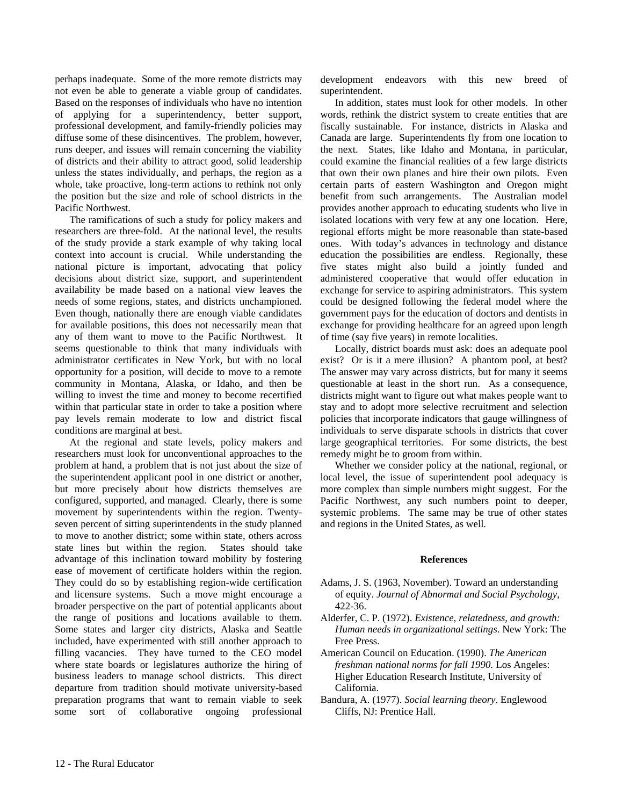perhaps inadequate. Some of the more remote districts may not even be able to generate a viable group of candidates. Based on the responses of individuals who have no intention of applying for a superintendency, better support, professional development, and family-friendly policies may diffuse some of these disincentives. The problem, however, runs deeper, and issues will remain concerning the viability of districts and their ability to attract good, solid leadership unless the states individually, and perhaps, the region as a whole, take proactive, long-term actions to rethink not only the position but the size and role of school districts in the Pacific Northwest.

The ramifications of such a study for policy makers and researchers are three-fold. At the national level, the results of the study provide a stark example of why taking local context into account is crucial. While understanding the national picture is important, advocating that policy decisions about district size, support, and superintendent availability be made based on a national view leaves the needs of some regions, states, and districts unchampioned. Even though, nationally there are enough viable candidates for available positions, this does not necessarily mean that any of them want to move to the Pacific Northwest. It seems questionable to think that many individuals with administrator certificates in New York, but with no local opportunity for a position, will decide to move to a remote community in Montana, Alaska, or Idaho, and then be willing to invest the time and money to become recertified within that particular state in order to take a position where pay levels remain moderate to low and district fiscal conditions are marginal at best.

At the regional and state levels, policy makers and researchers must look for unconventional approaches to the problem at hand, a problem that is not just about the size of the superintendent applicant pool in one district or another, but more precisely about how districts themselves are configured, supported, and managed. Clearly, there is some movement by superintendents within the region. Twentyseven percent of sitting superintendents in the study planned to move to another district; some within state, others across state lines but within the region. States should take advantage of this inclination toward mobility by fostering ease of movement of certificate holders within the region. They could do so by establishing region-wide certification and licensure systems. Such a move might encourage a broader perspective on the part of potential applicants about the range of positions and locations available to them. Some states and larger city districts, Alaska and Seattle included, have experimented with still another approach to filling vacancies. They have turned to the CEO model where state boards or legislatures authorize the hiring of business leaders to manage school districts. This direct departure from tradition should motivate university-based preparation programs that want to remain viable to seek some sort of collaborative ongoing professional

development endeavors with this new breed of superintendent.

In addition, states must look for other models. In other words, rethink the district system to create entities that are fiscally sustainable. For instance, districts in Alaska and Canada are large. Superintendents fly from one location to the next. States, like Idaho and Montana, in particular, could examine the financial realities of a few large districts that own their own planes and hire their own pilots. Even certain parts of eastern Washington and Oregon might benefit from such arrangements. The Australian model provides another approach to educating students who live in isolated locations with very few at any one location. Here, regional efforts might be more reasonable than state-based ones. With today's advances in technology and distance education the possibilities are endless. Regionally, these five states might also build a jointly funded and administered cooperative that would offer education in exchange for service to aspiring administrators. This system could be designed following the federal model where the government pays for the education of doctors and dentists in exchange for providing healthcare for an agreed upon length of time (say five years) in remote localities.

Locally, district boards must ask: does an adequate pool exist? Or is it a mere illusion? A phantom pool, at best? The answer may vary across districts, but for many it seems questionable at least in the short run. As a consequence, districts might want to figure out what makes people want to stay and to adopt more selective recruitment and selection policies that incorporate indicators that gauge willingness of individuals to serve disparate schools in districts that cover large geographical territories. For some districts, the best remedy might be to groom from within.

Whether we consider policy at the national, regional, or local level, the issue of superintendent pool adequacy is more complex than simple numbers might suggest. For the Pacific Northwest, any such numbers point to deeper, systemic problems. The same may be true of other states and regions in the United States, as well.

## **References**

- Adams, J. S. (1963, November). Toward an understanding of equity. *Journal of Abnormal and Social Psychology*, 422-36.
- Alderfer, C. P. (1972). *Existence, relatedness, and growth: Human needs in organizational settings*. New York: The Free Press.
- American Council on Education. (1990). *The American freshman national norms for fall 1990.* Los Angeles: Higher Education Research Institute, University of California.
- Bandura, A. (1977). *Social learning theory*. Englewood Cliffs, NJ: Prentice Hall.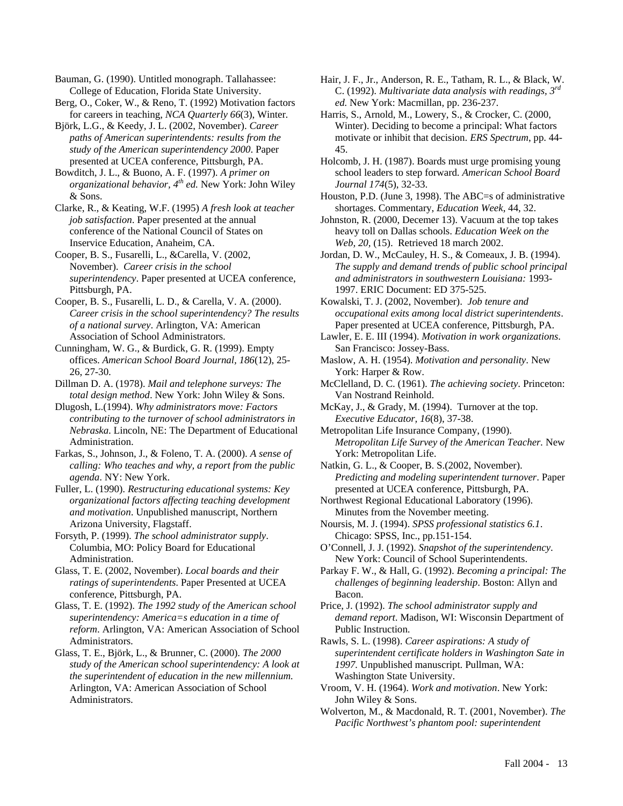Bauman, G. (1990). Untitled monograph. Tallahassee: College of Education, Florida State University.

Berg, O., Coker, W., & Reno, T. (1992) Motivation factors for careers in teaching, *NCA Quarterly 66*(3), Winter.

Björk, L.G., & Keedy, J. L. (2002, November). *Career paths of American superintendents: results from the study of the American superintendency 2000*. Paper presented at UCEA conference, Pittsburgh, PA.

Bowditch, J. L., & Buono, A. F. (1997). *A primer on organizational behavior, 4th ed.* New York: John Wiley & Sons.

Clarke, R., & Keating, W.F. (1995) *A fresh look at teacher job satisfaction*. Paper presented at the annual conference of the National Council of States on Inservice Education, Anaheim, CA.

Cooper, B. S., Fusarelli, L., &Carella, V. (2002, November). *Career crisis in the school superintendency*. Paper presented at UCEA conference, Pittsburgh, PA.

Cooper, B. S., Fusarelli, L. D., & Carella, V. A. (2000). *Career crisis in the school superintendency? The results of a national survey*. Arlington, VA: American Association of School Administrators.

Cunningham, W. G., & Burdick, G. R. (1999). Empty offices. *American School Board Journal, 186*(12), 25- 26, 27-30.

Dillman D. A. (1978). *Mail and telephone surveys: The total design method*. New York: John Wiley & Sons.

Dlugosh, L.(1994). *Why administrators move: Factors contributing to the turnover of school administrators in Nebraska*. Lincoln, NE: The Department of Educational Administration.

Farkas, S., Johnson, J., & Foleno, T. A. (2000). *A sense of calling: Who teaches and why, a report from the public agenda*. NY: New York.

Fuller, L. (1990). *Restructuring educational systems: Key organizational factors affecting teaching development and motivation*. Unpublished manuscript, Northern Arizona University, Flagstaff.

Forsyth, P. (1999). *The school administrator supply*. Columbia, MO: Policy Board for Educational Administration.

Glass, T. E. (2002, November). *Local boards and their ratings of superintendents*. Paper Presented at UCEA conference, Pittsburgh, PA.

Glass, T. E. (1992). *The 1992 study of the American school superintendency: America=s education in a time of reform*. Arlington, VA: American Association of School Administrators.

Glass, T. E., Björk, L., & Brunner, C. (2000). *The 2000 study of the American school superintendency: A look at the superintendent of education in the new millennium.* Arlington, VA: American Association of School Administrators.

Hair, J. F., Jr., Anderson, R. E., Tatham, R. L., & Black, W. C. (1992). *Multivariate data analysis with readings, 3rd ed.* New York: Macmillan, pp. 236-237.

Harris, S., Arnold, M., Lowery, S., & Crocker, C. (2000, Winter). Deciding to become a principal: What factors motivate or inhibit that decision. *ERS Spectrum*, pp. 44- 45.

Holcomb, J. H. (1987). Boards must urge promising young school leaders to step forward. *American School Board Journal 174*(5), 32-33.

Houston, P.D. (June 3, 1998). The ABC=s of administrative shortages. Commentary, *Education Week*, 44, 32.

Johnston, R. (2000, Decemer 13). Vacuum at the top takes heavy toll on Dallas schools. *Education Week on the Web, 20,* (15). Retrieved 18 march 2002.

Jordan, D. W., McCauley, H. S., & Comeaux, J. B. (1994). *The supply and demand trends of public school principal and administrators in southwestern Louisiana:* 1993- 1997. ERIC Document: ED 375-525.

Kowalski, T. J. (2002, November). *Job tenure and occupational exits among local district superintendents*. Paper presented at UCEA conference, Pittsburgh, PA.

Lawler, E. E. III (1994). *Motivation in work organizations*. San Francisco: Jossey-Bass.

Maslow, A. H. (1954). *Motivation and personality*. New York: Harper & Row.

McClelland, D. C. (1961). *The achieving society*. Princeton: Van Nostrand Reinhold.

McKay, J., & Grady, M. (1994). Turnover at the top. *Executive Educator, 16*(8), 37-38.

Metropolitan Life Insurance Company, (1990). *Metropolitan Life Survey of the American Teacher.* New York: Metropolitan Life.

Natkin, G. L., & Cooper, B. S.(2002, November). *Predicting and modeling superintendent turnover*. Paper presented at UCEA conference, Pittsburgh, PA.

Northwest Regional Educational Laboratory (1996). Minutes from the November meeting.

Noursis, M. J. (1994). *SPSS professional statistics 6.1*. Chicago: SPSS, Inc., pp.151-154.

O'Connell, J. J. (1992). *Snapshot of the superintendency*. New York: Council of School Superintendents.

Parkay F. W., & Hall, G. (1992). *Becoming a principal: The challenges of beginning leadership*. Boston: Allyn and Bacon.

Price, J. (1992). *The school administrator supply and demand report*. Madison, WI: Wisconsin Department of Public Instruction.

Rawls, S. L. (1998). *Career aspirations: A study of superintendent certificate holders in Washington Sate in 1997.* Unpublished manuscript. Pullman, WA: Washington State University.

Vroom, V. H. (1964). *Work and motivation*. New York: John Wiley & Sons.

Wolverton, M., & Macdonald, R. T. (2001, November). *The Pacific Northwest's phantom pool: superintendent*